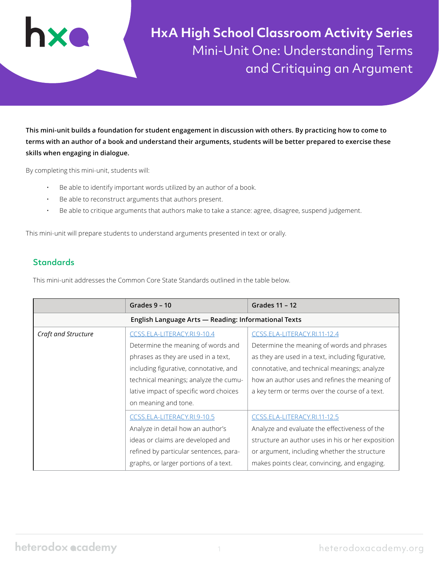

**HxA High School Classroom Activity Series** Mini-Unit One: Understanding Terms and Critiquing an Argument

**This mini-unit builds a foundation for student engagement in discussion with others. By practicing how to come to terms with an author of a book and understand their arguments, students will be better prepared to exercise these skills when engaging in dialogue.** 

By completing this mini-unit, students will:

- Be able to identify important words utilized by an author of a book.
- Be able to reconstruct arguments that authors present.
- Be able to critique arguments that authors make to take a stance: agree, disagree, suspend judgement.

This mini-unit will prepare students to understand arguments presented in text or orally.

# **Standards**

This mini-unit addresses the Common Core State Standards outlined in the table below.

|                     | Grades $9 - 10$                                      | Grades 11 - 12                                    |  |  |  |
|---------------------|------------------------------------------------------|---------------------------------------------------|--|--|--|
|                     | English Language Arts - Reading: Informational Texts |                                                   |  |  |  |
| Craft and Structure | CCSS.ELA-LITERACY.RI.9-10.4                          | CCSS.ELA-LITERACY.RI.11-12.4                      |  |  |  |
|                     | Determine the meaning of words and                   | Determine the meaning of words and phrases        |  |  |  |
|                     | phrases as they are used in a text,                  | as they are used in a text, including figurative, |  |  |  |
|                     | including figurative, connotative, and               | connotative, and technical meanings; analyze      |  |  |  |
|                     | technical meanings; analyze the cumu-                | how an author uses and refines the meaning of     |  |  |  |
|                     | lative impact of specific word choices               | a key term or terms over the course of a text.    |  |  |  |
|                     | on meaning and tone.                                 |                                                   |  |  |  |
|                     | CCSS.ELA-LITERACY.RI.9-10.5                          | CCSS.ELA-LITERACY.RI.11-12.5                      |  |  |  |
|                     | Analyze in detail how an author's                    | Analyze and evaluate the effectiveness of the     |  |  |  |
|                     | ideas or claims are developed and                    | structure an author uses in his or her exposition |  |  |  |
|                     | refined by particular sentences, para-               | or argument, including whether the structure      |  |  |  |
|                     | graphs, or larger portions of a text.                | makes points clear, convincing, and engaging.     |  |  |  |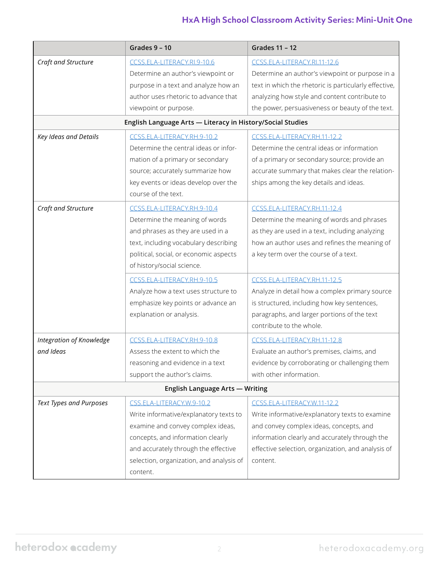# **HxA High School Classroom Activity Series: Mini-Unit One**

|                                                            | Grades $9 - 10$                          | <b>Grades 11 - 12</b>                                 |  |  |  |  |
|------------------------------------------------------------|------------------------------------------|-------------------------------------------------------|--|--|--|--|
| Craft and Structure                                        | CCSS.ELA-LITERACY.RI.9-10.6              | CCSS.ELA-LITERACY.RI.11-12.6                          |  |  |  |  |
|                                                            | Determine an author's viewpoint or       | Determine an author's viewpoint or purpose in a       |  |  |  |  |
|                                                            | purpose in a text and analyze how an     | text in which the rhetoric is particularly effective, |  |  |  |  |
|                                                            | author uses rhetoric to advance that     | analyzing how style and content contribute to         |  |  |  |  |
|                                                            | viewpoint or purpose.                    | the power, persuasiveness or beauty of the text.      |  |  |  |  |
| English Language Arts - Literacy in History/Social Studies |                                          |                                                       |  |  |  |  |
| Key Ideas and Details                                      | CCSS.ELA-LITERACY.RH.9-10.2              | CCSS.ELA-LITERACY.RH.11-12.2                          |  |  |  |  |
|                                                            | Determine the central ideas or infor-    | Determine the central ideas or information            |  |  |  |  |
|                                                            | mation of a primary or secondary         | of a primary or secondary source; provide an          |  |  |  |  |
|                                                            | source; accurately summarize how         | accurate summary that makes clear the relation-       |  |  |  |  |
|                                                            | key events or ideas develop over the     | ships among the key details and ideas.                |  |  |  |  |
|                                                            | course of the text.                      |                                                       |  |  |  |  |
| Craft and Structure                                        | CCSS.ELA-LITERACY.RH.9-10.4              | CCSS.ELA-LITERACY.RH.11-12.4                          |  |  |  |  |
|                                                            | Determine the meaning of words           | Determine the meaning of words and phrases            |  |  |  |  |
|                                                            | and phrases as they are used in a        | as they are used in a text, including analyzing       |  |  |  |  |
|                                                            | text, including vocabulary describing    | how an author uses and refines the meaning of         |  |  |  |  |
|                                                            | political, social, or economic aspects   | a key term over the course of a text.                 |  |  |  |  |
|                                                            | of history/social science.               |                                                       |  |  |  |  |
|                                                            | CCSS.ELA-LITERACY.RH.9-10.5              | CCSS.ELA-LITERACY.RH.11-12.5                          |  |  |  |  |
|                                                            | Analyze how a text uses structure to     | Analyze in detail how a complex primary source        |  |  |  |  |
|                                                            | emphasize key points or advance an       | is structured, including how key sentences,           |  |  |  |  |
|                                                            | explanation or analysis.                 | paragraphs, and larger portions of the text           |  |  |  |  |
|                                                            |                                          | contribute to the whole.                              |  |  |  |  |
| Integration of Knowledge                                   | CCSS.ELA-LITERACY.RH.9-10.8              | CCSS.ELA-LITERACY.RH.11-12.8                          |  |  |  |  |
| and Ideas                                                  | Assess the extent to which the           | Evaluate an author's premises, claims, and            |  |  |  |  |
|                                                            | reasoning and evidence in a text         | evidence by corroborating or challenging them         |  |  |  |  |
|                                                            | support the author's claims.             | with other information.                               |  |  |  |  |
|                                                            | English Language Arts - Writing          |                                                       |  |  |  |  |
| Text Types and Purposes                                    | CSS.ELA-LITERACY.W.9-10.2                | CCSS.ELA-LITERACY.W.11-12.2                           |  |  |  |  |
|                                                            | Write informative/explanatory texts to   | Write informative/explanatory texts to examine        |  |  |  |  |
|                                                            | examine and convey complex ideas,        | and convey complex ideas, concepts, and               |  |  |  |  |
|                                                            | concepts, and information clearly        | information clearly and accurately through the        |  |  |  |  |
|                                                            | and accurately through the effective     | effective selection, organization, and analysis of    |  |  |  |  |
|                                                            | selection, organization, and analysis of | content.                                              |  |  |  |  |
|                                                            | content.                                 |                                                       |  |  |  |  |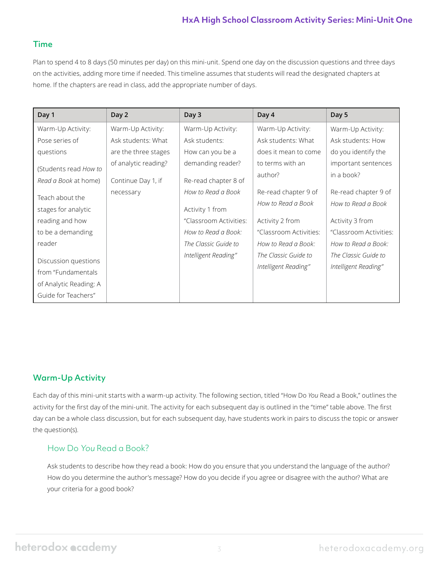# **HxA High School Classroom Activity Series: Mini-Unit One**

## Time

Plan to spend 4 to 8 days (50 minutes per day) on this mini-unit. Spend one day on the discussion questions and three days on the activities, adding more time if needed. This timeline assumes that students will read the designated chapters at home. If the chapters are read in class, add the appropriate number of days.

| Day 1                  | Day 2                | Day 3                  | Day 4                                        | Day 5                                        |
|------------------------|----------------------|------------------------|----------------------------------------------|----------------------------------------------|
| Warm-Up Activity:      | Warm-Up Activity:    | Warm-Up Activity:      | Warm-Up Activity:                            | Warm-Up Activity:                            |
| Pose series of         | Ask students: What   | Ask students:          | Ask students: What                           | Ask students: How                            |
| questions              | are the three stages | How can you be a       | does it mean to come                         | do you identify the                          |
| (Students read How to  | of analytic reading? | demanding reader?      | to terms with an<br>author?                  | important sentences<br>in a book?            |
| Read a Book at home)   | Continue Day 1, if   | Re-read chapter 8 of   |                                              |                                              |
| Teach about the        | necessary            | How to Read a Book     | Re-read chapter 9 of                         | Re-read chapter 9 of                         |
| stages for analytic    |                      | Activity 1 from        | How to Read a Book                           | How to Read a Book                           |
| reading and how        |                      | "Classroom Activities: | Activity 2 from                              | Activity 3 from                              |
| to be a demanding      |                      | How to Read a Book:    | "Classroom Activities:                       | "Classroom Activities:                       |
| reader                 |                      | The Classic Guide to   | How to Read a Book:                          | How to Read a Book:                          |
| Discussion questions   |                      | Intelligent Reading"   | The Classic Guide to<br>Intelligent Reading" | The Classic Guide to<br>Intelligent Reading" |
| from "Fundamentals     |                      |                        |                                              |                                              |
| of Analytic Reading: A |                      |                        |                                              |                                              |
| Guide for Teachers"    |                      |                        |                                              |                                              |

# Warm-Up Activity

Each day of this mini-unit starts with a warm-up activity. The following section, titled "How Do *You* Read a Book," outlines the activity for the first day of the mini-unit. The activity for each subsequent day is outlined in the "time" table above. The first day can be a whole class discussion, but for each subsequent day, have students work in pairs to discuss the topic or answer the question(s).

# How Do You Read a Book?

Ask students to describe how they read a book: How do you ensure that you understand the language of the author? How do you determine the author's message? How do you decide if you agree or disagree with the author? What are your criteria for a good book?